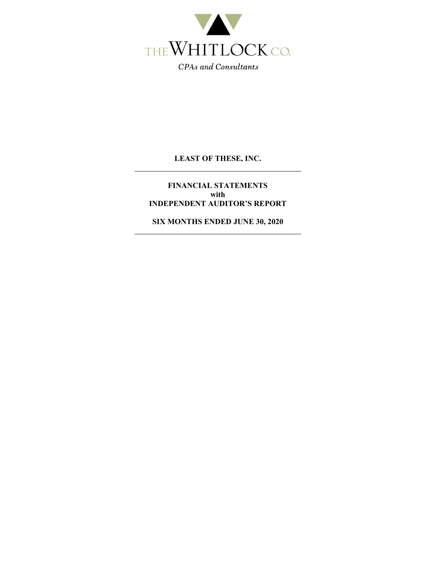

**FINANCIAL STATEMENTS with INDEPENDENT AUDITOR'S REPORT** 

**SIX MONTHS ENDED JUNE 30, 2020**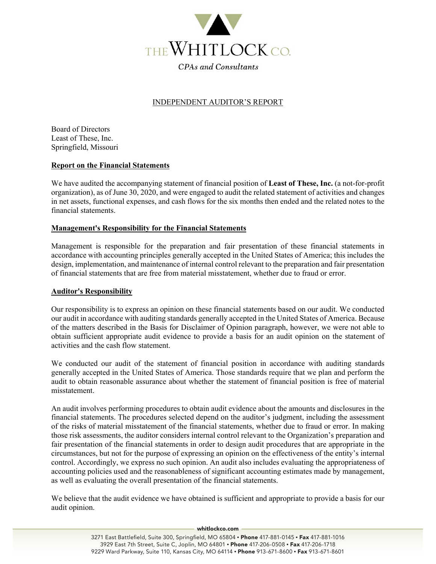

## INDEPENDENT AUDITOR'S REPORT

Board of Directors Least of These, Inc. Springfield, Missouri

### **Report on the Financial Statements**

We have audited the accompanying statement of financial position of **Least of These, Inc.** (a not-for-profit organization), as of June 30, 2020, and were engaged to audit the related statement of activities and changes in net assets, functional expenses, and cash flows for the six months then ended and the related notes to the financial statements.

### **Management's Responsibility for the Financial Statements**

Management is responsible for the preparation and fair presentation of these financial statements in accordance with accounting principles generally accepted in the United States of America; this includes the design, implementation, and maintenance of internal control relevant to the preparation and fair presentation of financial statements that are free from material misstatement, whether due to fraud or error.

#### **Auditor's Responsibility**

Our responsibility is to express an opinion on these financial statements based on our audit. We conducted our audit in accordance with auditing standards generally accepted in the United States of America. Because of the matters described in the Basis for Disclaimer of Opinion paragraph, however, we were not able to obtain sufficient appropriate audit evidence to provide a basis for an audit opinion on the statement of activities and the cash flow statement.

We conducted our audit of the statement of financial position in accordance with auditing standards generally accepted in the United States of America. Those standards require that we plan and perform the audit to obtain reasonable assurance about whether the statement of financial position is free of material misstatement.

An audit involves performing procedures to obtain audit evidence about the amounts and disclosures in the financial statements. The procedures selected depend on the auditor's judgment, including the assessment of the risks of material misstatement of the financial statements, whether due to fraud or error. In making those risk assessments, the auditor considers internal control relevant to the Organization's preparation and fair presentation of the financial statements in order to design audit procedures that are appropriate in the circumstances, but not for the purpose of expressing an opinion on the effectiveness of the entity's internal control. Accordingly, we express no such opinion. An audit also includes evaluating the appropriateness of accounting policies used and the reasonableness of significant accounting estimates made by management, as well as evaluating the overall presentation of the financial statements.

We believe that the audit evidence we have obtained is sufficient and appropriate to provide a basis for our audit opinion.

#### whitlockco.com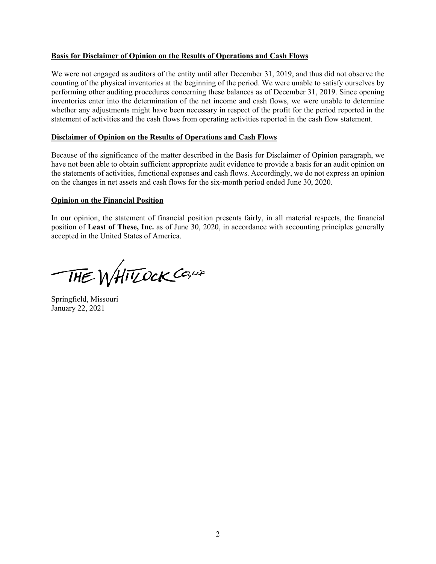## **Basis for Disclaimer of Opinion on the Results of Operations and Cash Flows**

We were not engaged as auditors of the entity until after December 31, 2019, and thus did not observe the counting of the physical inventories at the beginning of the period. We were unable to satisfy ourselves by performing other auditing procedures concerning these balances as of December 31, 2019. Since opening inventories enter into the determination of the net income and cash flows, we were unable to determine whether any adjustments might have been necessary in respect of the profit for the period reported in the statement of activities and the cash flows from operating activities reported in the cash flow statement.

## **Disclaimer of Opinion on the Results of Operations and Cash Flows**

Because of the significance of the matter described in the Basis for Disclaimer of Opinion paragraph, we have not been able to obtain sufficient appropriate audit evidence to provide a basis for an audit opinion on the statements of activities, functional expenses and cash flows. Accordingly, we do not express an opinion on the changes in net assets and cash flows for the six-month period ended June 30, 2020.

### **Opinion on the Financial Position**

In our opinion, the statement of financial position presents fairly, in all material respects, the financial position of **Least of These, Inc.** as of June 30, 2020, in accordance with accounting principles generally accepted in the United States of America.

THE WHITOCK CO, UP

Springfield, Missouri January 22, 2021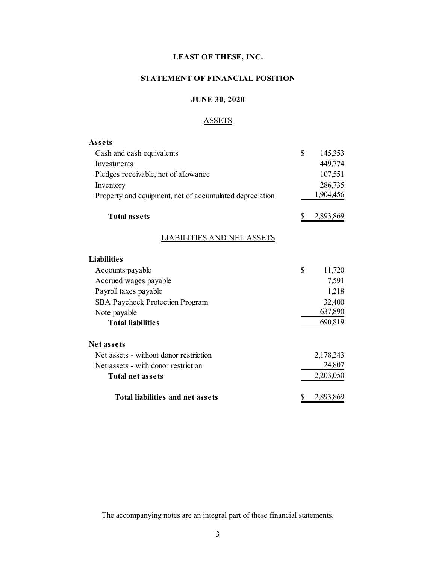## **STATEMENT OF FINANCIAL POSITION**

## **JUNE 30, 2020**

## **ASSETS**

| Assets                                                  |              |           |
|---------------------------------------------------------|--------------|-----------|
| Cash and cash equivalents                               | \$           | 145,353   |
| Investments                                             |              | 449,774   |
| Pledges receivable, net of allowance                    |              | 107,551   |
| Inventory                                               |              | 286,735   |
| Property and equipment, net of accumulated depreciation |              | 1,904,456 |
| <b>Total assets</b>                                     | \$           | 2,893,869 |
| <b>LIABILITIES AND NET ASSETS</b>                       |              |           |
| <b>Liabilities</b>                                      |              |           |
| Accounts payable                                        | $\mathbb{S}$ | 11,720    |
| Accrued wages payable                                   |              | 7,591     |
| Payroll taxes payable                                   |              | 1,218     |
| <b>SBA Paycheck Protection Program</b>                  |              | 32,400    |
| Note payable                                            |              | 637,890   |
| <b>Total liabilities</b>                                |              | 690,819   |
| Net assets                                              |              |           |
| Net assets - without donor restriction                  |              | 2,178,243 |
| Net assets - with donor restriction                     |              | 24,807    |
| <b>Total net assets</b>                                 |              | 2,203,050 |
| Total liabilities and net assets                        | \$           | 2,893,869 |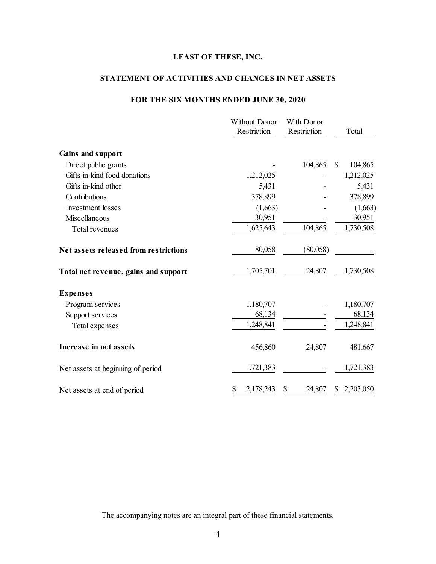## **STATEMENT OF ACTIVITIES AND CHANGES IN NET ASSETS**

## **FOR THE SIX MONTHS ENDED JUNE 30, 2020**

|                                       | <b>Without Donor</b><br>Restriction | With Donor<br>Restriction | Total        |
|---------------------------------------|-------------------------------------|---------------------------|--------------|
| Gains and support                     |                                     |                           |              |
| Direct public grants                  |                                     | 104,865                   | S<br>104,865 |
| Gifts in-kind food donations          | 1,212,025                           |                           | 1,212,025    |
| Gifts in-kind other                   | 5,431                               |                           | 5,431        |
| Contributions                         | 378,899                             |                           | 378,899      |
| <b>Investment</b> losses              | (1,663)                             |                           | (1,663)      |
| Miscellaneous                         | 30,951                              |                           | 30,951       |
| Total revenues                        | 1,625,643                           | 104,865                   | 1,730,508    |
| Net assets released from restrictions | 80,058                              | (80,058)                  |              |
| Total net revenue, gains and support  | 1,705,701                           | 24,807                    | 1,730,508    |
| <b>Expenses</b>                       |                                     |                           |              |
| Program services                      | 1,180,707                           |                           | 1,180,707    |
| Support services                      | 68,134                              |                           | 68,134       |
| Total expenses                        | 1,248,841                           |                           | 1,248,841    |
| Increase in net assets                | 456,860                             | 24,807                    | 481,667      |
| Net assets at beginning of period     | 1,721,383                           |                           | 1,721,383    |
| Net assets at end of period           | 2,178,243                           | 24,807<br>S               | 2,203,050    |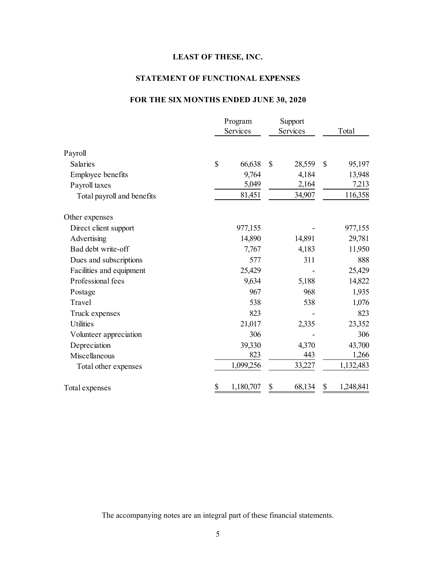## **STATEMENT OF FUNCTIONAL EXPENSES**

## **FOR THE SIX MONTHS ENDED JUNE 30, 2020**

|                            |              | Program<br>Services |    | Support<br>Services |               | Total     |
|----------------------------|--------------|---------------------|----|---------------------|---------------|-----------|
| Payroll                    |              |                     |    |                     |               |           |
| <b>Salaries</b>            | $\mathbb{S}$ | 66,638              | \$ | 28,559              | $\mathcal{S}$ | 95,197    |
| <b>Employee benefits</b>   |              | 9,764               |    | 4,184               |               | 13,948    |
| Payroll taxes              |              | 5,049               |    | 2,164               |               | 7,213     |
| Total payroll and benefits |              | 81,451              |    | 34,907              |               | 116,358   |
| Other expenses             |              |                     |    |                     |               |           |
| Direct client support      |              | 977,155             |    |                     |               | 977,155   |
| Advertising                |              | 14,890              |    | 14,891              |               | 29,781    |
| Bad debt write-off         |              | 7,767               |    | 4,183               |               | 11,950    |
| Dues and subscriptions     |              | 577                 |    | 311                 |               | 888       |
| Facilities and equipment   |              | 25,429              |    |                     |               | 25,429    |
| Professional fees          |              | 9,634               |    | 5,188               |               | 14,822    |
| Postage                    |              | 967                 |    | 968                 |               | 1,935     |
| Travel                     |              | 538                 |    | 538                 |               | 1,076     |
| Truck expenses             |              | 823                 |    |                     |               | 823       |
| <b>Utilities</b>           |              | 21,017              |    | 2,335               |               | 23,352    |
| Volunteer appreciation     |              | 306                 |    |                     |               | 306       |
| Depreciation               |              | 39,330              |    | 4,370               |               | 43,700    |
| Miscellaneous              |              | 823                 |    | 443                 |               | 1,266     |
| Total other expenses       |              | 1,099,256           |    | 33,227              |               | 1,132,483 |
| Total expenses             | \$           | 1,180,707           | \$ | 68,134              | \$            | 1,248,841 |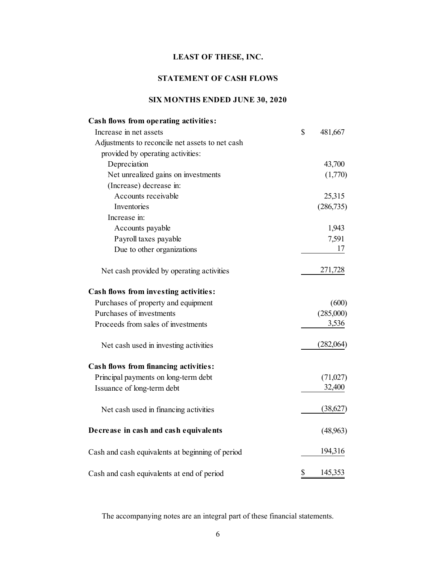## **STATEMENT OF CASH FLOWS**

# **SIX MONTHS ENDED JUNE 30, 2020**

| Cash flows from operating activities:            |               |
|--------------------------------------------------|---------------|
| Increase in net assets                           | \$<br>481,667 |
| Adjustments to reconcile net assets to net cash  |               |
| provided by operating activities:                |               |
| Depreciation                                     | 43,700        |
| Net unrealized gains on investments              | (1,770)       |
| (Increase) decrease in:                          |               |
| Accounts receivable                              | 25,315        |
| Inventories                                      | (286, 735)    |
| Increase in:                                     |               |
| Accounts payable                                 | 1,943         |
| Payroll taxes payable                            | 7,591         |
| Due to other organizations                       | 17            |
| Net cash provided by operating activities        | 271,728       |
| Cash flows from investing activities:            |               |
| Purchases of property and equipment              | (600)         |
| Purchases of investments                         | (285,000)     |
| Proceeds from sales of investments               | 3,536         |
| Net cash used in investing activities            | (282,064)     |
| Cash flows from financing activities:            |               |
| Principal payments on long-term debt             | (71,027)      |
| Issuance of long-term debt                       | 32,400        |
| Net cash used in financing activities            | (38,627)      |
| Decrease in cash and cash equivalents            | (48,963)      |
| Cash and cash equivalents at beginning of period | 194,316       |
| Cash and cash equivalents at end of period       | \$<br>145,353 |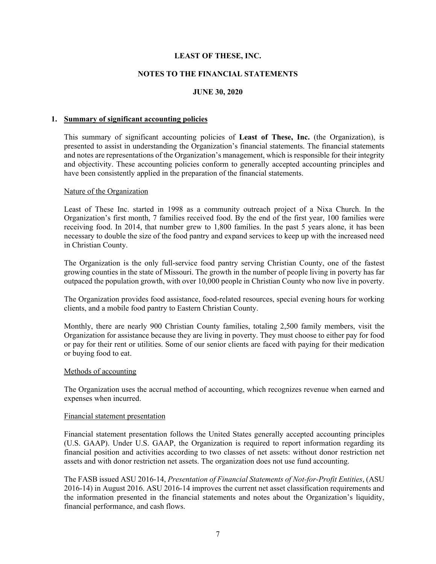### **NOTES TO THE FINANCIAL STATEMENTS**

## **JUNE 30, 2020**

#### **1. Summary of significant accounting policies**

This summary of significant accounting policies of **Least of These, Inc.** (the Organization), is presented to assist in understanding the Organization's financial statements. The financial statements and notes are representations of the Organization's management, which is responsible for their integrity and objectivity. These accounting policies conform to generally accepted accounting principles and have been consistently applied in the preparation of the financial statements.

#### Nature of the Organization

Least of These Inc. started in 1998 as a community outreach project of a Nixa Church. In the Organization's first month, 7 families received food. By the end of the first year, 100 families were receiving food. In 2014, that number grew to 1,800 families. In the past 5 years alone, it has been necessary to double the size of the food pantry and expand services to keep up with the increased need in Christian County.

The Organization is the only full-service food pantry serving Christian County, one of the fastest growing counties in the state of Missouri. The growth in the number of people living in poverty has far outpaced the population growth, with over 10,000 people in Christian County who now live in poverty.

The Organization provides food assistance, food-related resources, special evening hours for working clients, and a mobile food pantry to Eastern Christian County.

Monthly, there are nearly 900 Christian County families, totaling 2,500 family members, visit the Organization for assistance because they are living in poverty. They must choose to either pay for food or pay for their rent or utilities. Some of our senior clients are faced with paying for their medication or buying food to eat.

#### Methods of accounting

The Organization uses the accrual method of accounting, which recognizes revenue when earned and expenses when incurred.

#### Financial statement presentation

Financial statement presentation follows the United States generally accepted accounting principles (U.S. GAAP). Under U.S. GAAP, the Organization is required to report information regarding its financial position and activities according to two classes of net assets: without donor restriction net assets and with donor restriction net assets. The organization does not use fund accounting.

The FASB issued ASU 2016-14, *Presentation of Financial Statements of Not-for-Profit Entities*, (ASU 2016-14) in August 2016. ASU 2016-14 improves the current net asset classification requirements and the information presented in the financial statements and notes about the Organization's liquidity, financial performance, and cash flows.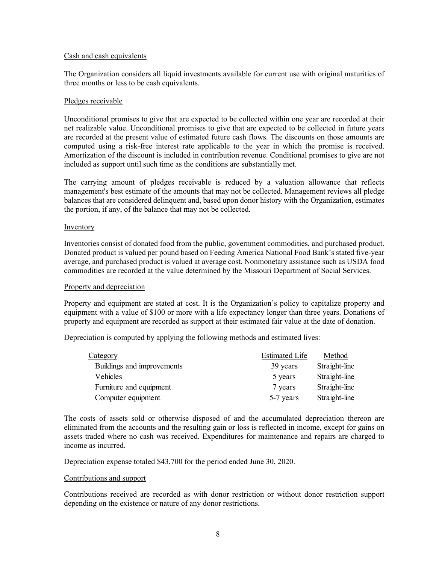#### Cash and cash equivalents

The Organization considers all liquid investments available for current use with original maturities of three months or less to be cash equivalents.

### Pledges receivable

Unconditional promises to give that are expected to be collected within one year are recorded at their net realizable value. Unconditional promises to give that are expected to be collected in future years are recorded at the present value of estimated future cash flows. The discounts on those amounts are computed using a risk-free interest rate applicable to the year in which the promise is received. Amortization of the discount is included in contribution revenue. Conditional promises to give are not included as support until such time as the conditions are substantially met.

The carrying amount of pledges receivable is reduced by a valuation allowance that reflects management's best estimate of the amounts that may not be collected. Management reviews all pledge balances that are considered delinquent and, based upon donor history with the Organization, estimates the portion, if any, of the balance that may not be collected.

### **Inventory**

Inventories consist of donated food from the public, government commodities, and purchased product. Donated product is valued per pound based on Feeding America National Food Bank's stated five-year average, and purchased product is valued at average cost. Nonmonetary assistance such as USDA food commodities are recorded at the value determined by the Missouri Department of Social Services.

#### Property and depreciation

Property and equipment are stated at cost. It is the Organization's policy to capitalize property and equipment with a value of \$100 or more with a life expectancy longer than three years. Donations of property and equipment are recorded as support at their estimated fair value at the date of donation.

Depreciation is computed by applying the following methods and estimated lives:

| <u>Category</u>            | <b>Estimated Life</b> | Method        |
|----------------------------|-----------------------|---------------|
| Buildings and improvements | 39 years              | Straight-line |
| Vehicles                   | 5 years               | Straight-line |
| Furniture and equipment    | 7 years               | Straight-line |
| Computer equipment         | 5-7 years             | Straight-line |

The costs of assets sold or otherwise disposed of and the accumulated depreciation thereon are eliminated from the accounts and the resulting gain or loss is reflected in income, except for gains on assets traded where no cash was received. Expenditures for maintenance and repairs are charged to income as incurred.

Depreciation expense totaled \$43,700 for the period ended June 30, 2020.

#### Contributions and support

Contributions received are recorded as with donor restriction or without donor restriction support depending on the existence or nature of any donor restrictions.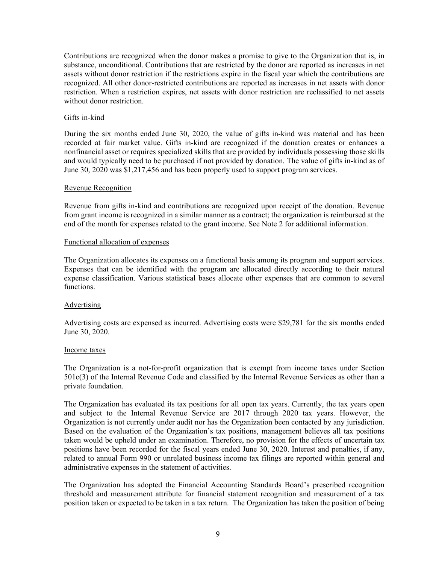Contributions are recognized when the donor makes a promise to give to the Organization that is, in substance, unconditional. Contributions that are restricted by the donor are reported as increases in net assets without donor restriction if the restrictions expire in the fiscal year which the contributions are recognized. All other donor-restricted contributions are reported as increases in net assets with donor restriction. When a restriction expires, net assets with donor restriction are reclassified to net assets without donor restriction.

### Gifts in-kind

During the six months ended June 30, 2020, the value of gifts in-kind was material and has been recorded at fair market value. Gifts in-kind are recognized if the donation creates or enhances a nonfinancial asset or requires specialized skills that are provided by individuals possessing those skills and would typically need to be purchased if not provided by donation. The value of gifts in-kind as of June 30, 2020 was \$1,217,456 and has been properly used to support program services.

#### Revenue Recognition

Revenue from gifts in-kind and contributions are recognized upon receipt of the donation. Revenue from grant income is recognized in a similar manner as a contract; the organization is reimbursed at the end of the month for expenses related to the grant income. See Note 2 for additional information.

#### Functional allocation of expenses

The Organization allocates its expenses on a functional basis among its program and support services. Expenses that can be identified with the program are allocated directly according to their natural expense classification. Various statistical bases allocate other expenses that are common to several functions.

#### Advertising

Advertising costs are expensed as incurred. Advertising costs were \$29,781 for the six months ended June 30, 2020.

#### Income taxes

The Organization is a not-for-profit organization that is exempt from income taxes under Section 501c(3) of the Internal Revenue Code and classified by the Internal Revenue Services as other than a private foundation.

The Organization has evaluated its tax positions for all open tax years. Currently, the tax years open and subject to the Internal Revenue Service are 2017 through 2020 tax years. However, the Organization is not currently under audit nor has the Organization been contacted by any jurisdiction. Based on the evaluation of the Organization's tax positions, management believes all tax positions taken would be upheld under an examination. Therefore, no provision for the effects of uncertain tax positions have been recorded for the fiscal years ended June 30, 2020. Interest and penalties, if any, related to annual Form 990 or unrelated business income tax filings are reported within general and administrative expenses in the statement of activities.

The Organization has adopted the Financial Accounting Standards Board's prescribed recognition threshold and measurement attribute for financial statement recognition and measurement of a tax position taken or expected to be taken in a tax return. The Organization has taken the position of being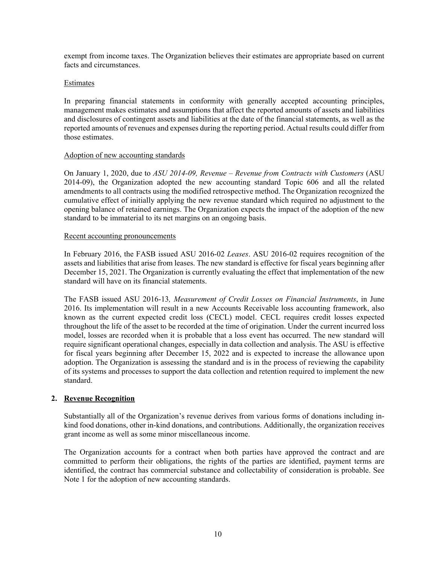exempt from income taxes. The Organization believes their estimates are appropriate based on current facts and circumstances.

#### Estimates

In preparing financial statements in conformity with generally accepted accounting principles, management makes estimates and assumptions that affect the reported amounts of assets and liabilities and disclosures of contingent assets and liabilities at the date of the financial statements, as well as the reported amounts of revenues and expenses during the reporting period. Actual results could differ from those estimates.

### Adoption of new accounting standards

On January 1, 2020, due to *ASU 2014-09, Revenue – Revenue from Contracts with Customers* (ASU 2014-09), the Organization adopted the new accounting standard Topic 606 and all the related amendments to all contracts using the modified retrospective method. The Organization recognized the cumulative effect of initially applying the new revenue standard which required no adjustment to the opening balance of retained earnings. The Organization expects the impact of the adoption of the new standard to be immaterial to its net margins on an ongoing basis.

### Recent accounting pronouncements

In February 2016, the FASB issued ASU 2016-02 *Leases*. ASU 2016-02 requires recognition of the assets and liabilities that arise from leases. The new standard is effective for fiscal years beginning after December 15, 2021. The Organization is currently evaluating the effect that implementation of the new standard will have on its financial statements.

The FASB issued ASU 2016-13*, Measurement of Credit Losses on Financial Instruments*, in June 2016. Its implementation will result in a new Accounts Receivable loss accounting framework, also known as the current expected credit loss (CECL) model. CECL requires credit losses expected throughout the life of the asset to be recorded at the time of origination. Under the current incurred loss model, losses are recorded when it is probable that a loss event has occurred. The new standard will require significant operational changes, especially in data collection and analysis. The ASU is effective for fiscal years beginning after December 15, 2022 and is expected to increase the allowance upon adoption. The Organization is assessing the standard and is in the process of reviewing the capability of its systems and processes to support the data collection and retention required to implement the new standard.

### **2. Revenue Recognition**

Substantially all of the Organization's revenue derives from various forms of donations including inkind food donations, other in-kind donations, and contributions. Additionally, the organization receives grant income as well as some minor miscellaneous income.

The Organization accounts for a contract when both parties have approved the contract and are committed to perform their obligations, the rights of the parties are identified, payment terms are identified, the contract has commercial substance and collectability of consideration is probable. See Note 1 for the adoption of new accounting standards.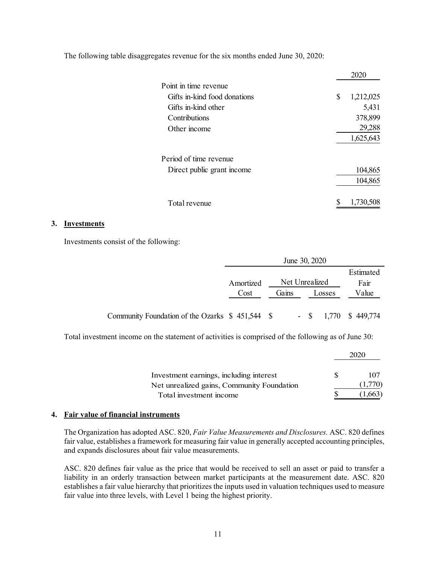The following table disaggregates revenue for the six months ended June 30, 2020:

|                              | 2020            |
|------------------------------|-----------------|
| Point in time revenue        |                 |
| Gifts in-kind food donations | \$<br>1,212,025 |
| Gifts in-kind other          | 5,431           |
| Contributions                | 378,899         |
| Other income                 | 29,288          |
|                              | 1,625,643       |
| Period of time revenue       |                 |
| Direct public grant income   | 104,865         |
|                              | 104,865         |
| Total revenue                | \$<br>1,730,508 |

#### **3. Investments**

Investments consist of the following:

|                                                   |           | June 30, 2020  |     |        |                  |
|---------------------------------------------------|-----------|----------------|-----|--------|------------------|
|                                                   |           |                |     |        | Estimated        |
|                                                   | Amortized | Net Unrealized |     |        | Fair             |
|                                                   | Cost      | Gains          |     | Losses | Value            |
|                                                   |           |                |     |        |                  |
| Community Foundation of the Ozarks $$451,544$ $$$ |           |                | - S |        | 1,770 \$ 449,774 |

Total investment income on the statement of activities is comprised of the following as of June 30:

| Investment earnings, including interest                               | ж | 107<br>(1,770) |
|-----------------------------------------------------------------------|---|----------------|
| Net unrealized gains, Community Foundation<br>Total investment income |   |                |

#### **4. Fair value of financial instruments**

The Organization has adopted ASC. 820, *Fair Value Measurements and Disclosures.* ASC. 820 defines fair value, establishes a framework for measuring fair value in generally accepted accounting principles, and expands disclosures about fair value measurements.

ASC. 820 defines fair value as the price that would be received to sell an asset or paid to transfer a liability in an orderly transaction between market participants at the measurement date. ASC. 820 establishes a fair value hierarchy that prioritizes the inputs used in valuation techniques used to measure fair value into three levels, with Level 1 being the highest priority.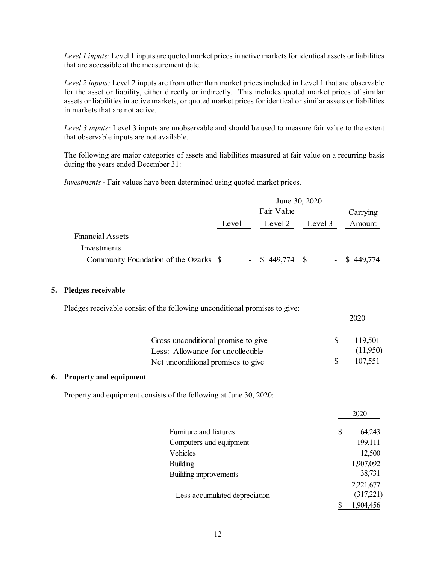*Level 1 inputs:* Level 1 inputs are quoted market prices in active markets for identical assets or liabilities that are accessible at the measurement date.

*Level 2 inputs:* Level 2 inputs are from other than market prices included in Level 1 that are observable for the asset or liability, either directly or indirectly. This includes quoted market prices of similar assets or liabilities in active markets, or quoted market prices for identical or similar assets or liabilities in markets that are not active.

*Level 3 inputs:* Level 3 inputs are unobservable and should be used to measure fair value to the extent that observable inputs are not available.

The following are major categories of assets and liabilities measured at fair value on a recurring basis during the years ended December 31:

*Investments* - Fair values have been determined using quoted market prices.

|                                       | June 30, 2020 |  |                   |         |  |                |  |          |
|---------------------------------------|---------------|--|-------------------|---------|--|----------------|--|----------|
|                                       |               |  | Fair Value        |         |  |                |  | Carrying |
|                                       | Level 1       |  | Level 2           | Level 3 |  | Amount         |  |          |
| Financial Assets                      |               |  |                   |         |  |                |  |          |
| Investments                           |               |  |                   |         |  |                |  |          |
| Community Foundation of the Ozarks \$ |               |  | $-$ \$ 449,774 \$ |         |  | $-$ \$ 449,774 |  |          |

## **5. Pledges receivable**

Pledges receivable consist of the following unconditional promises to give:

| Gross unconditional promise to give | 119,501  |
|-------------------------------------|----------|
| Less: Allowance for uncollectible   | (11,950) |
| Net unconditional promises to give  | 107,551  |

## **6. Property and equipment**

Property and equipment consists of the following at June 30, 2020:

|                               |    | 2020      |
|-------------------------------|----|-----------|
| Furniture and fixtures        | \$ | 64,243    |
| Computers and equipment       |    | 199,111   |
| Vehicles                      |    | 12,500    |
| <b>Building</b>               |    | 1,907,092 |
| Building improvements         |    | 38,731    |
|                               |    | 2,221,677 |
| Less accumulated depreciation |    | (317,221) |
|                               | S  | 1,904,456 |

2020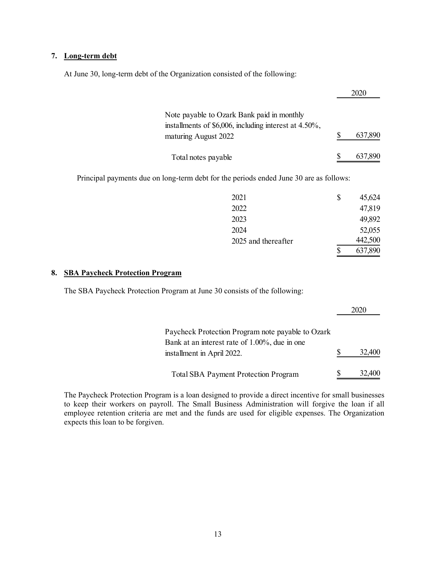## **7. Long-term debt**

At June 30, long-term debt of the Organization consisted of the following:

|                                                                                                                             |   | 2020    |
|-----------------------------------------------------------------------------------------------------------------------------|---|---------|
| Note payable to Ozark Bank paid in monthly<br>installments of \$6,006, including interest at 4.50%,<br>maturing August 2022 | S | 637,890 |
| Total notes payable                                                                                                         |   | 637,890 |
| Principal payments due on long-term debt for the periods ended June 30 are as follows:                                      |   |         |

|                     | 637,890      |
|---------------------|--------------|
| 2025 and thereafter | 442,500      |
| 2024                | 52,055       |
| 2023                | 49,892       |
| 2022                | 47,819       |
| 2021                | \$<br>45,624 |

### **8. SBA Paycheck Protection Program**

The SBA Paycheck Protection Program at June 30 consists of the following:

|                                                                                                    | 2020   |
|----------------------------------------------------------------------------------------------------|--------|
| Paycheck Protection Program note payable to Ozark<br>Bank at an interest rate of 1.00%, due in one |        |
| installment in April 2022.                                                                         | 32,400 |
| <b>Total SBA Payment Protection Program</b>                                                        | 32,400 |

The Paycheck Protection Program is a loan designed to provide a direct incentive for small businesses to keep their workers on payroll. The Small Business Administration will forgive the loan if all employee retention criteria are met and the funds are used for eligible expenses. The Organization expects this loan to be forgiven.